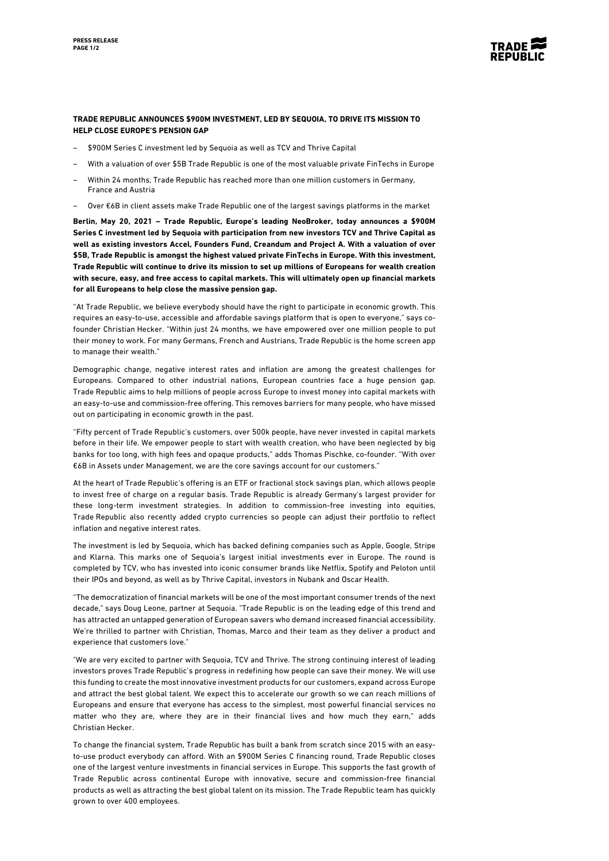

## **TRADE REPUBLIC ANNOUNCES \$900M INVESTMENT, LED BY SEQUOIA, TO DRIVE ITS MISSION TO HELP CLOSE EUROPE'S PENSION GAP**

- \$900M Series C investment led by Sequoia as well as TCV and Thrive Capital
- With a valuation of over \$5B Trade Republic is one of the most valuable private FinTechs in Europe
- Within 24 months, Trade Republic has reached more than one million customers in Germany, France and Austria
- Over €6B in client assets make Trade Republic one of the largest savings platforms in the market

**Berlin, May 20, 2021 – Trade Republic, Europe's leading NeoBroker, today announces a \$900M Series C investment led by Sequoia with participation from new investors TCV and Thrive Capital as well as existing investors Accel, Founders Fund, Creandum and Project A. With a valuation of over \$5B, Trade Republic is amongst the highest valued private FinTechs in Europe. With this investment, Trade Republic will continue to drive its mission to set up millions of Europeans for wealth creation with secure, easy, and free access to capital markets. This will ultimately open up financial markets for all Europeans to help close the massive pension gap.**

"At Trade Republic, we believe everybody should have the right to participate in economic growth. This requires an easy-to-use, accessible and affordable savings platform that is open to everyone," says cofounder Christian Hecker. "Within just 24 months, we have empowered over one million people to put their money to work. For many Germans, French and Austrians, Trade Republic is the home screen app to manage their wealth."

Demographic change, negative interest rates and inflation are among the greatest challenges for Europeans. Compared to other industrial nations, European countries face a huge pension gap. Trade Republic aims to help millions of people across Europe to invest money into capital markets with an easy-to-use and commission-free offering. This removes barriers for many people, who have missed out on participating in economic growth in the past.

"Fifty percent of Trade Republic's customers, over 500k people, have never invested in capital markets before in their life. We empower people to start with wealth creation, who have been neglected by big banks for too long, with high fees and opaque products," adds Thomas Pischke, co-founder. "With over €6B in Assets under Management, we are the core savings account for our customers."

At the heart of Trade Republic's offering is an ETF or fractional stock savings plan, which allows people to invest free of charge on a regular basis. Trade Republic is already Germany's largest provider for these long-term investment strategies. In addition to commission-free investing into equities, Trade Republic also recently added crypto currencies so people can adjust their portfolio to reflect inflation and negative interest rates.

The investment is led by Sequoia, which has backed defining companies such as Apple, Google, Stripe and Klarna. This marks one of Sequoia's largest initial investments ever in Europe. The round is completed by TCV, who has invested into iconic consumer brands like Netflix, Spotify and Peloton until their IPOs and beyond, as well as by Thrive Capital, investors in Nubank and Oscar Health.

"The democratization of financial markets will be one of the most important consumer trends of the next decade," says Doug Leone, partner at Sequoia. "Trade Republic is on the leading edge of this trend and has attracted an untapped generation of European savers who demand increased financial accessibility. We're thrilled to partner with Christian, Thomas, Marco and their team as they deliver a product and experience that customers love."

"We are very excited to partner with Sequoia, TCV and Thrive. The strong continuing interest of leading investors proves Trade Republic's progress in redefining how people can save their money. We will use this funding to create the most innovative investment products for our customers, expand across Europe and attract the best global talent. We expect this to accelerate our growth so we can reach millions of Europeans and ensure that everyone has access to the simplest, most powerful financial services no matter who they are, where they are in their financial lives and how much they earn," adds Christian Hecker.

To change the financial system, Trade Republic has built a bank from scratch since 2015 with an easyto-use product everybody can afford. With an \$900M Series C financing round, Trade Republic closes one of the largest venture investments in financial services in Europe. This supports the fast growth of Trade Republic across continental Europe with innovative, secure and commission-free financial products as well as attracting the best global talent on its mission. The Trade Republic team has quickly grown to over 400 employees.